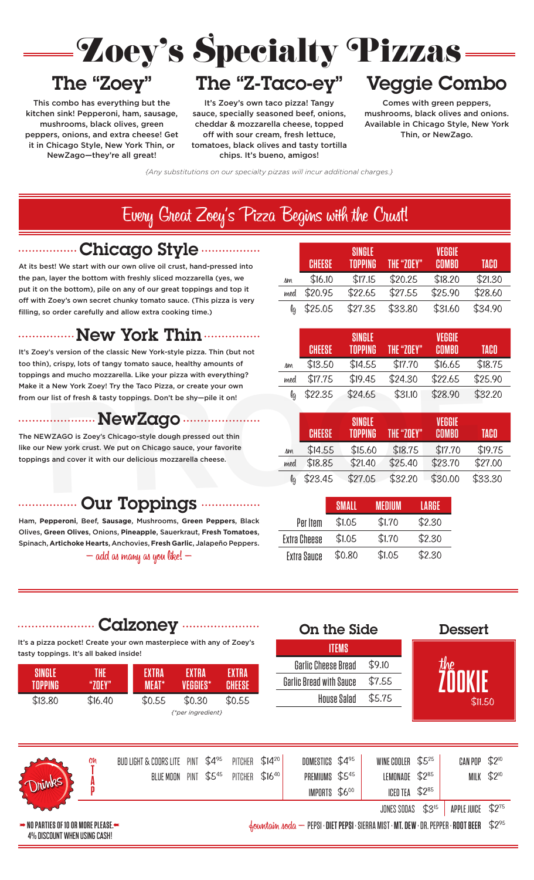

This combo has everything but the let's Zoey's over kitchen sink! Pepperoni, ham, sausage, sauce, specially se mushrooms, black olives, green peppers, onions, and extra cheese! Get mushrooms, black olives, green The "Z-Taco-ey" Veggie Combo filling, so order carefully and allow extra cooking time.) it in Chicago Style, New York Thin, or htomatoes, b NewZago—they're all great! it in Chicago Style, New York Thin, or sauce, specially seasoned beef, onions, mushrooms, black olives and onions. New York Thin Zoey's Specialty Pizzas

> tomatoes, black olives and tasty tortilla chips. It's bueno, amigos!

### The "Z-Taco-ey"  $\blacksquare$ cheddar Cheddar Cheddar ach cheddar & mozzarella cheese, topped  $\mathbf{u}_{\mathbf{z}}$  of  $\mathbf{w}_{\mathbf{z}}$  with source, from  $\mathbf{f}_{\mathbf{z}}$ the c-idco-es It's Zoey's  $\mathcal O$ sa  $\mathbf{S} = \mathbf{S}$  . The season set of  $\mathbf{S} = \mathbf{S}$ cheddar & mozzarella cheese, topped  $\blacksquare$  $\mathbf{S} \in \mathbb{R}$  seasoned between  $\mathbf{S} = \mathbb{R}^n$ re cheddar a moz

Specialty

 $\mathcal{L}$ 

 $\Gamma$ ngan ta sauce, specially seasoned beef, onions,

necialty <sup>G</sup>

mecialty <sup>G</sup>

 $\blacksquare$   $\blacksquare$   $\blacksquare$   $\blacksquare$   $\blacksquare$   $\blacksquare$   $\blacksquare$   $\blacksquare$   $\blacksquare$   $\blacksquare$   $\blacksquare$   $\blacksquare$   $\blacksquare$   $\blacksquare$   $\blacksquare$   $\blacksquare$   $\blacksquare$   $\blacksquare$   $\blacksquare$   $\blacksquare$   $\blacksquare$   $\blacksquare$   $\blacksquare$   $\blacksquare$   $\blacksquare$   $\blacksquare$   $\blacksquare$   $\blacksquare$   $\blacksquare$   $\blacksquare$   $\blacksquare$   $\blacks$ ausage, sauce, specially seasoned beef, onions, mushro cheddar & mozzarella cheese, topped off with sour cream, fresh lettuce, cheddar & mozzarella cheese, topped *{Any substitutions on our specialty pizzas will incur additional charges.} {Any substitutions on our specialty pizzas will incur additional charges.} {Any substitutions on our specialty pizzas will incur additional charges.}* of the cream, fresh etcals, and the cream, fresh lettuce, the cream, fresh lettuce, the cream of the Crust Source of the Crust Source of the Crust Source of the Crust Source of the Crust Source of the Crust Source of the C chips. It's bueno, amigos!

# Veggie Combo Example Computer Computer Computer Computer Computer Computer Computer Computer Computer Computer Computer Computer Computer Computer Computer Computer Computer Computer Computer Computer Computer Computer Computer Compute Thomas Complete Acadre commo Available in Chicago Style, New York **CHEESE** Thin, or NewZago. **TOPPING THE "ZOEY"** ey" Veggie Combo Available in Chicago Style, New York agaig Canaba Available in Chicago Style, New York

Pizzas —

**SINGLE** 

Comes with green peppers, musika  $m$ mush $m$ 

VVAS —

 $VUBS$   $\qquad$ 

Comes with green peppers, mushrooms, black olives and onions. Comes with green peppers, med \$18.25 \$19.75 \$24.25 \$22.75 \$25.25 Available in Chicago Style, New York mushrooms, black olives and onions. lg \$21.75 \$23.75 \$29.75 \$27.75 \$30.75 Thin, or New Zago.

**VEGGIE** 

lg \$19.75 \$21.75 \$21.75 \$21.75 \$27.75 \$27.75 \$27.75 \$27.75 \$27.75 \$29.75 \$27.75 \$27.75 \$27.75 \$27.75 \$29.75 \$2

**COMBO TACO VEGGIE** 

**COMBO TACO**

**COMBO TACO**

**COMBO TACO**

 $\frac{420.70}{420.00}$ 

**VEGGIE** 

**COMBO TACO VEGGIE** 

 $$18.20$   $$21.30$ 

{Any substitutions on our specialty pizzas will incur additional charges.} NewZago—they're all great! (Any Substitution **S**.}

### Every Great Zoey's Pizza Begins with the Crust! Every Great Zoey's Pizza Begins with the Crust! **CHEESE** *{Any substitutions on our specialty pizzas will incur additional charges.}* **SINGLE The Crust!**  $\overline{T}$   $\overline{C}$   $\overline{C}$ At its best with  $C$  very one of  $C$  very start with  $C$ sm \$14.75 \$15.75 \$18.75 \$16.75 \$19.75 20.31.25  $\frac{1}{25}$ the pan, layer the bottom with fresh  $\mathsf{r}_1$  sliced mozzarella (yes, we see that  $\mathsf{r}_2$  and  $\mathsf{r}_3$  and  $\mathsf{r}_4$  and  $\mathsf{r}_5$  and  $\mathsf{r}_6$  and  $\mathsf{r}_7$  and  $\mathsf{r}_8$  and  $\mathsf{r}_9$  and  $\mathsf{r}_9$  and  $\mathsf{r}_9$  an put it on the bottom), pile on any of our great top it of our great top it is  $\Gamma_{12.7}$   $\Gamma_{13.7}$ ,  $\Gamma_{14.7}$ ,  $\Gamma_{15.7}$ ,  $\Gamma_{16.7}$ ,  $\Gamma_{17.7}$ ,  $\Gamma_{18.7}$   $\Gamma_{19.7}$ ,  $\Gamma_{10.7}$ ,  $\Gamma_{11.7}$  $3.5$   $3.75$   $3.75$   $3.75$   $3.25$   $3.25$   $3.25$   $3.25$   $3.25$   $3.25$   $3.25$   $3.25$   $3.25$   $3.25$   $3.25$   $3.25$   $3.25$   $3.25$   $3.25$   $3.25$   $3.25$   $3.25$   $3.25$   $3.25$   $3.25$   $3.25$   $3.25$   $3.25$   $3.25$   $3.25$   $3.25$   $3.25$ toppings and mucho mucho mozzarella. Like your pizzarella. Like your pizzarella. Like your pizza with the second **SINGLE**   $C$ *TUMI!*  $\overline{T}$   $(1, 7)$ At its best best of the start with our own of the start with the start with the start with  $\mu$  $\mathbf{S}$ *COLUMI***!**  $T$   $(1, 17)$ At its best with our own of the start with our own of the start with our own of the start of the start of the s

<u>—————————</u><br>Nhiqqoq Chule ..................Chicago Style .................  $\ldots$   $\ldots$   $\ldots$   $\ldots$   $\ldots$   $\ldots$   $\ldots$ <u>filling, so order carefully</u> and allow extra cooking time.  $f_{\text{min}}$  our contracted only be shown be shown by shipping in  $\mathcal{L}_{\text{min}}$  $\bigcap_{n=1}^{\infty}$ , pile on any of our great top it on any of our great top it on any of our great top it of our great top it of our great top it of our great top it of our great top it of our great top it of our great top i off with Zoey's own secret chunky tomato sauce. (This pizza is very  $\mathsf{P}$  $\ldots$   $\ldots$   $\ldots$   $\ldots$   $\ldots$   $\ldots$   $\ldots$   $\ldots$ 

the pan, layer the bottom with freshly sliced mozzarella (yes, we

the pan, layer the bottom with freshly sliced mozzarella (yes, we

At its best! We start with our own olive oil crust, hand-pressed into the pan, layer the bottom with freshly sliced mozzarella (yes, we put it on the bottom), pile on any of our great toppings and top it **COMBO CONSISTENTS**<br> **COMBO TOPS**<br> **COMBO CONSISTENTS CONSISTENTS** of the cooperation of the contract of the classic Condensation of the cooking time.<br> **filling, so order carefully and allow extra cooking time.** filling, so order carefully and allow extra cooking time.) yer the bottom with freshly sli<mark>c</mark><br>ne bottom), pile on any of our g  $\sigma$  the tanggram), crisis of tanggrams satisfy the same same satisfy  $\sigma$ to the calculary and allow their tooled general

the pan, layer the bottom with freshly sliced mozzarella (yes, we

 $\mathcal{A}$  is best  $\mathcal{A}$  is best  $\mathcal{A}$  is best of  $\mathcal{A}$  into our order of  $\mathcal{A}$  is a pressed into only  $\mathcal{A}$ 

off with Zoey's own secret chunky to the Zoey's own secret chunky to the Soey's very secret chunky to the Soci

## new York Thin<br>Vous Vork Thin ...............New York Thin ............... lg \$21.75 \$23.75 \$29.75 \$27.75 \$30.75  $\mathbf{M}_{\text{max}}$  and  $\mathbf{V}_{\text{max}}$  much pizza with everything  $\mathbf{M}_{\text{max}}$  $M_{\odot}$  is a new York  $M_{\odot}$  and  $M_{\odot}$  and  $M_{\odot}$  is the Tachomacular subsequent  $M_{\odot}$ from our list of  $\mathbf{r}_0 = \mathbf{r}_0$  to pulse it on  $\mathbf{r}_0$ topings and cover it with our delicious motion in the cheese.  $\mathbf{M}_{\text{max}}$  and  $\mathbf{M}_{\text{max}}$  is  $\mathbf{M}_{\text{max}}$  $M_{\odot}$  is a new York Tritity  $M_{\odot}$  $\mathbf{M}$  and  $\mathbf{M}$  and  $\mathbf{M}$  and  $\mathbf{M}$  and  $\mathbf{M}$  is given by pizza with everything?  $M_{\odot}$  is a  $N_{\odot}$  and  $N_{\odot}$  and  $N_{\odot}$   $N_{\odot}$  is the Taco Pizza, or correction of creations  $N_{\odot}$

lt's Zoey's version of the classic New York-style pizza. Thin (but not too thin), crispy, lots of tangy tomato sauce, healthy amounts of too thin), crispy, lots of tangy tomato sauce, healthy amounts of toppings and mucho mozzarella. Like your pizza with everything? Make it a New York Zoey! Try the Taco Pizza, or create your own ng n<sub>epaga</sub>rana.<br>VanaZarata from our list of fresh & tasty toppings. Don't be shy—pile it on! our list of fresh & tasty toppings. Don't be ur itst of fresh & tasty toppings. Don't be sny—plie it on:

The NEWZAGO is Zoey's Chicago-style dough pressed out thin NewZago med \$15.75 \$17.25 \$21.75 \$20.25 \$23.25 toppings and cover it with our delicious mozzarella cheese. The NEWZAGO is Zoey's Chicago-style dough pressed out thin like our New york crust. We put on Chicago sauce, your favorite toppings and cover it with our delicious mozzarella cheese. Ham, **Pepperoni**, Beef, **Sausage**, Mushrooms, **Green Peppers**, Black

| sm  | \$16.10       | \$17.15       | \$20.25           | \$18.20       | \$21.30     |
|-----|---------------|---------------|-------------------|---------------|-------------|
| med | \$20.95       | \$22.65       | \$27.55           | \$25.90       | \$28.60     |
| lg  | \$25.05       | \$27.35       | \$33.80           | \$31.60       | \$34.90     |
|     |               |               |                   |               |             |
|     |               |               |                   |               |             |
|     |               | <b>SINGLE</b> |                   | <b>VEGGIE</b> |             |
|     | <b>CHEESE</b> | Topping       | <b>THE "ZOEY"</b> | <b>COMBO</b>  | <b>TACO</b> |
| sm  | \$13.50       | \$14.55       | \$17.70           | \$16.65       | \$18.75     |

 $1$  \$11.15 \$19.45 \$24.50 \$22.05 \$25.90

<u>CHEESE \$27.75 \$28.90 \$22.75</u><br>
CHEESE \$28.90 \$32.20

**TOPPING THE "ZOEY" TOPPING THE "ZOEY" TOPPING THE "ZOEY"**

**TOPPING THE "ZOEY" SINGLE** 

 $$17.15$   $$20.25$ 

SM \$14.75 \$14.75 \$10.75 \$14.75 \$14.75 \$14.75 \$14.75 \$14.75 \$14.75 \$14.75 \$14.75 \$14.75 \$14.75 \$14.75 \$14.75 \$1 med \$18.25 \$19.75 \$24.25 \$22.75 \$25.25

sm <mark>\$14.75 \$15.75 \$14.75 \$15.75 \$14.75 \$15.75 \$15.75 \$15.75 \$15.75 \$15.75 \$15.75 \$15.75 \$15.75 \$15.75 \$15.75 \$15.75</mark>  $\mathbf{18.25} \times \mathbf{25.25} \times \mathbf{25.25} \times \mathbf{25.25} \times \mathbf{25.25} \times \mathbf{25.25} \times \mathbf{25.25} \times \mathbf{25.25} \times \mathbf{25.25} \times \mathbf{25.25} \times \mathbf{25.25} \times \mathbf{25.25} \times \mathbf{25.25} \times \mathbf{25.25} \times \mathbf{25.25} \times \mathbf{25.25} \times \mathbf{25.25} \times \mathbf{25.25} \times \mathbf{$ 

lg \$21.75 \$23.75 \$29.75 \$27.75 \$30.75

**TOPPING THE "ZOEY"**

**CHEESE TOPPING THE "ZOEY" COMBO TACO** 

sm \$14.75 \$14.75 \$14.75 \$15.75 \$14.75 \$15.75 \$15.75 \$15.75 \$15.75 \$15.75 \$15.75 \$15.75 \$15.75 \$15.75 \$19.75 \$1 med \$18.25 \$19.75 \$19.75 \$25.25 \$25.25 \$25.25 \$25.25 \$25.25 \$25.25 \$25.25 \$25.25 \$25.25 \$25.25 \$25.25 \$25.25 \$

sm \$14.75 \$15.75 \$18.75 \$16.75 \$19.75 med \$18.25 \$19.75 \$25.75 \$25.75 \$25.75 \$25.75 \$25.25 \$25.75 \$25.75 \$25.75 \$25.75 \$25.75 \$25.75 \$25.75 \$25.75 \$25.

**SINGLE** 

**C** 

**TOPPING** 

**CHEESE**

**S<sub>16.10</sub>** 

**CHEESE**

| list of fresh & tasty toppings. Don't be shy-pile it on!                                                     | la.             | \$22.35       | \$24.65                         | \$31.10    | \$28.90                | \$32.20     |
|--------------------------------------------------------------------------------------------------------------|-----------------|---------------|---------------------------------|------------|------------------------|-------------|
| <b>MewZago </b><br>.                                                                                         |                 | <b>CHEESE</b> | <b>SINGLE</b><br><b>TOPPING</b> | THE "ZOEY" | VEGGIE<br><b>COMBO</b> | <b>TACO</b> |
| ZAGO is Zoey's Chicago-style dough pressed out thin                                                          |                 |               |                                 |            |                        |             |
| lew york crust. We put on Chicago sauce, your favorite<br>and cover it with our delicious mozzarella cheese. |                 | \$14.55       | \$15.60                         | \$18.75    | \$17.70                | \$19.75     |
|                                                                                                              |                 | \$18.85       | \$21.40                         | \$25.40    | \$23.70                | \$27.00     |
|                                                                                                              | $\mathbf{\ell}$ | \$23.45       | \$27.05                         | \$32.20    | \$30.00                | \$33.30     |
|                                                                                                              |                 |               |                                 |            |                        |             |

<u>Calzoney (Calzoney Calzone</u>

**THE** 

**THE** 

**THE** 

**EXTRA**

**EXTRA**

**EXTRA**

**EXTRA**

**EXTRA**

**EXTRA**

**EXTRA**

**EXTRA** 

**EXTRA**

**EXTRA** 

**EXTRA** 

# Our Temple on ................. Our Toppings ................ add addinig.<br> Spinach, **Artichoke Hearts**, Anchovies, **Fresh Garlic**, Jalapeño Peppers.  $\blacksquare$  robbings  $\ldots$ Spinach, **Artichoke Hearts**, Anchovies, **Fresh Garlic**, Jalapeño Peppers. was manufaktur i

Ham, Pepperoni, Beef, Sausage, Mushrooms, Green Peppers, Black<br>Olives, Green Olives, Onions, Pineapple, Sauerkraut, Fresh Tomatoes, Spinach, **Artichoke Hearts**, Anchovies, **Fresh Garlic**, Jalapeño Peppers. Olives, **Green Olives**, Onions, **Pineapple**, Sauerkraut, **Fresh Tomatoes**, Substitute on Wallen Chronics, Anchovies, **Fresh Garlic**, Jalapeño Peppers.<br>Spinach, Artichoke Hearts, Anchovies, **Fresh Garlic**, Jalapeño Peppers.  $-$  add as many as you like!  $-$ *{Comes with chips & dill spear}* Spinach, Artichoke Hearts, Anchovies, Fresh Garlic, Jalapeño Peppers.<br>المال المال *{Comes with chips & dill spear}* uut us muny us you uke:

Sub Sandwiches (Sub Sandwiches und Sandwiches und Sandwiches und Sandwiches und Sandwiches (Sub Sandwiches und<br>Statt der Statt der Statt der Statt der Statt der Statt der Statt der Statt der Statt der Statt der Statt der

Cheddar Cheddar Cheddar<br>Cheddar Cheddar Cheddar

Extra Sauce \$0.50 \$0.75 \$1.00

Turkey (1985)

| <b>SMALL</b> | <b>MEDIUM</b> | LARGE  |
|--------------|---------------|--------|
| \$1.05       | \$1.70        | \$2.30 |
| \$1.05       | \$1.70        | \$2.30 |
| \$0.80       | \$1.05        | \$2.30 |
|              |               |        |

**THE** 

|                                        |                      | Calzoney                                                            |                          |                               |            | <b>On the Side</b>      | <b>Dessert</b> |           |                              |
|----------------------------------------|----------------------|---------------------------------------------------------------------|--------------------------|-------------------------------|------------|-------------------------|----------------|-----------|------------------------------|
| tasty toppings. It's all baked inside! |                      | It's a pizza pocket! Create your own masterpiece with any of Zoey's |                          |                               |            | <b>ITEMS</b>            |                |           |                              |
|                                        |                      |                                                                     |                          |                               |            | Garlic Cheese Bread     | \$9.10         |           |                              |
| SINGLE<br><b>TOPPING</b>               | <b>THE</b><br>"ZOEY" | <b>EXTRA</b><br><b>MEAT*</b>                                        | <b>EXTRA</b><br>VEGGIES* | <b>EXTRA</b><br><b>CHEESE</b> |            | Garlic Bread with Sauce | \$7.55         |           |                              |
| \$13.80                                | \$16.40              | \$0.55                                                              | \$0.30                   | \$0.55                        |            | <b>House Salad</b>      | \$5.75         |           | \$11.50                      |
|                                        |                      |                                                                     | {*per ingredient}        |                               |            |                         |                |           |                              |
|                                        | Oh                   | BUD LIGHT & COORS LITE PINT \$4%                                    |                          | PITCHER                       | $$14^{20}$ | DOMESTICS $$4^{95}$     | WINE COOLER    | $$5^{25}$ | $\mathbb{C}AN$ POP $$2^{10}$ |
| $\sim$ $\sim$                          |                      | BLUE MOON                                                           | PINT                     | $$5^{45}$<br>PITCHER          | $$16^{40}$ | PREMIUMS \$545          | LEMONADE       | $$2^{85}$ | $$2^{10}$<br>MILK            |

Lettuce Tomato

**SINGLE** 

**SINGLE** 

**SINGLE** 

**SINGLE** 

| Olumpe                                                                                        | BLUE MOON | PINT | $$5^{45}$ | PITCHER | $$16^{40}$ | ---------<br>PREMIUMS \$545<br>IMPORTS \$600 | ,,,,,,,,,,,,,,,<br>LEMONADE \$285<br>ICED TEA                                                                                                                                                                                                                                                                       | $$2^{85}$ | .                 | MILK $$2^{10}$ |
|-----------------------------------------------------------------------------------------------|-----------|------|-----------|---------|------------|----------------------------------------------|---------------------------------------------------------------------------------------------------------------------------------------------------------------------------------------------------------------------------------------------------------------------------------------------------------------------|-----------|-------------------|----------------|
|                                                                                               |           |      |           |         |            |                                              | JONES SODAS                                                                                                                                                                                                                                                                                                         | $$3^{15}$ | APPLE JUICE \$275 |                |
| $\rightarrow$ No parties of 10 or more please. $\leftarrow$<br>40/ BIGGOUNT HUITH HOULO GAOUL |           |      |           |         |            |                                              | $\frac{1}{2}$ $\frac{1}{2}$ $\frac{1}{2}$ $\frac{1}{2}$ $\frac{1}{2}$ $\frac{1}{2}$ $\frac{1}{2}$ $\frac{1}{2}$ $\frac{1}{2}$ $\frac{1}{2}$ $\frac{1}{2}$ $\frac{1}{2}$ $\frac{1}{2}$ $\frac{1}{2}$ $\frac{1}{2}$ $\frac{1}{2}$ $\frac{1}{2}$ $\frac{1}{2}$ $\frac{1}{2}$ $\frac{1}{2}$ $\frac{1}{2}$ $\frac{1}{2}$ |           |                   |                |

Two HearteD  $\sim$  16 in the algebra  $\sim$  16 in the algebra  $\sim$  16 in the algebra  $\sim$ 

**A** NO PARTIES OF 10 OR MORE PLEASE<br>
4% DISCOUNT WHEN USING CASH!<br>
———————————————————— THE BUDGET BULLER LIGHT \$450 PITCHER \$450 PITCHER \$450 PITCHER \$450 PITCHER \$450 PITCHER \$450 WINE COOLER \$450 PITCHER \$450 PITCHER \$450 PITCHER \$450 PITCHER \$450 PITCHER \$450 PITCHER \$450 PITCHER \$450 PITCHER \$450 PITCHER

**<sup>A</sup>** Drinks

 $\frac{1}{2}$  direction and  $\frac{1}{2}$  direction and  $\frac{1}{2}$  direction and  $\frac{1}{2}$  direction and  $\frac{1}{2}$  direction and  $\frac{1}{2}$  direction is a set of  $\frac{1}{2}$  direction and  $\frac{1}{2}$  direction and  $\frac{1}{2}$  direction a

ORANGE or LEMON SAN PELLEGRINO \$2 ROOT BEER or CREAM SODA \$275 APPLE or GRAPE JUICE \$250

BLUE MOON PINT TE MOON PINT TE MOON PINT TE MOON PINT TE MOON PINT TE MOON PINT TE MOON PINT TE MOON PINT TE M<br>Een sterre in de sterre in de sterre in de sterre in de sterre in de sterre in de sterre in de sterre in de st